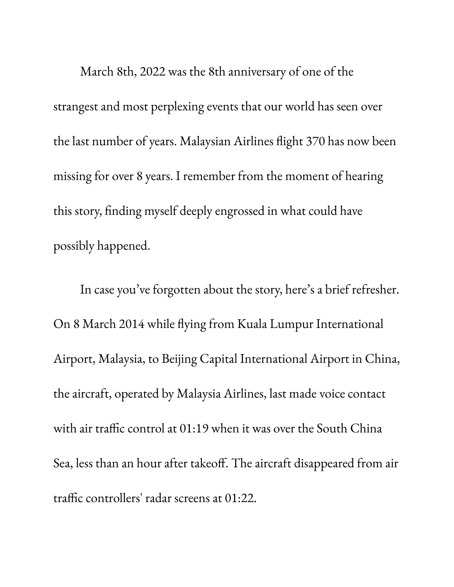March 8th, 2022 was the 8th anniversary of one of the strangest and most perplexing events that our world has seen over the last number of years. Malaysian Airlines flight 370 has now been missing for over 8 years. I remember from the moment of hearing this story, finding myself deeply engrossed in what could have possibly happened.

In case you ' ve forgotten about the story, here ' s a brief refresher. On 8 March 2014 while flying from Kuala Lumpur International Airport, Malaysia, to Beijing Capital International Airport in China, the aircraft, operated by Malaysia Airlines, last made voice contact with air traffic control at 01:19 when it was over the South China Sea, less than an hour after takeoff. The aircraft disappeared from air traffic controllers' radar screens at 01:22.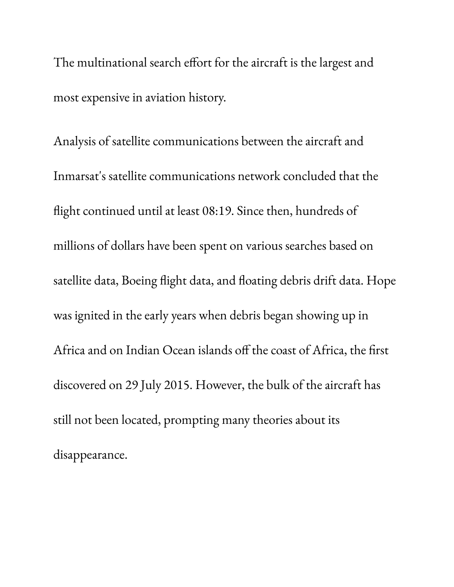The multinational search effort for the aircraft is the largest and most expensive in aviation history.

Analysis of satellite communications between the aircraft and Inmarsat's satellite communications network concluded that the flight continued until at least 08:19. Since then, hundreds of millions of dollars have been spent on various searches based on satellite data, Boeing flight data, and floating debris drift data. Hope was ignited in the early years when debris began showing up in Africa and on Indian Ocean islands off the coast of Africa, the first discovered on 29 July 2015. However, the bulk of the aircraft has still not been located, prompting many theories about its disappearance.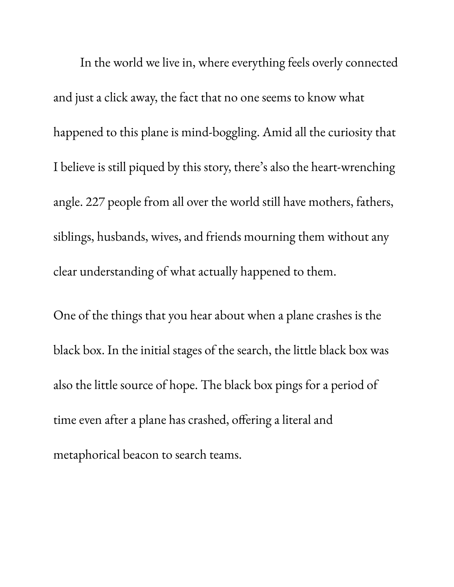In the world we live in, where everything feels overly connected and just a click away, the fact that no one seems to know what happened to this plane is mind-boggling. Amid all the curiosity that I believe is still piqued by this story, there ' s also the heart-wrenching angle. 227 people from all over the world still have mothers, fathers, siblings, husbands, wives, and friends mourning them without any clear understanding of what actually happened to them.

One of the things that you hear about when a plane crashes is the black box. In the initial stages of the search, the little black box was also the little source of hope. The black box pings for a period of time even after a plane has crashed, offering a literal and metaphorical beacon to search teams.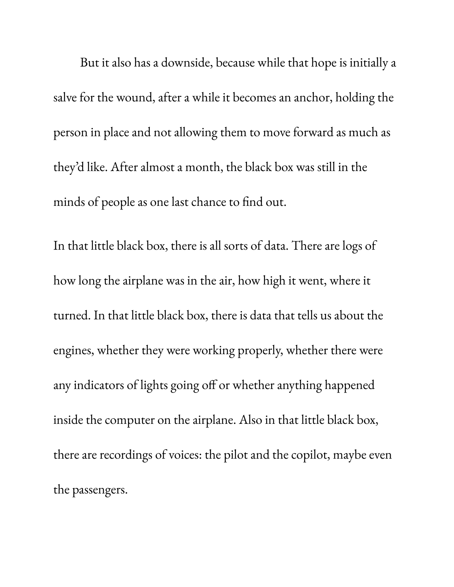But it also has a downside, because while that hope is initially a salve for the wound, after a while it becomes an anchor, holding the person in place and not allowing them to move forward as much as they 'd like. After almost a month, the black box was still in the minds of people as one last chance to find out.

In that little black box, there is all sorts of data. There are logs of how long the airplane was in the air, how high it went, where it turned. In that little black box, there is data that tells us about the engines, whether they were working properly, whether there were any indicators of lights going off or whether anything happened inside the computer on the airplane. Also in that little black box, there are recordings of voices: the pilot and the copilot, maybe even the passengers.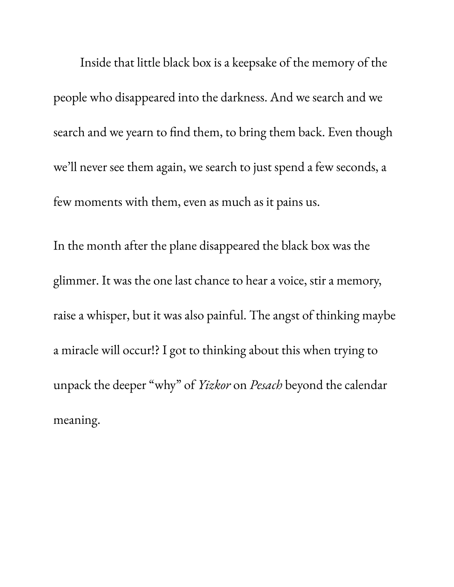Inside that little black box is a keepsake of the memory of the people who disappeared into the darkness. And we search and we search and we yearn to find them, to bring them back. Even though we 'll never see them again, we search to just spend a few seconds, a few moments with them, even as much as it pains us.

In the month after the plane disappeared the black box was the glimmer. It was the one last chance to hear a voice, stir a memory, raise a whisper, but it was also painful. The angst of thinking maybe a miracle will occur!? I got to thinking about this when trying to unpack the deeper " why " of *Yizkor* on *Pesach* beyond the calendar meaning.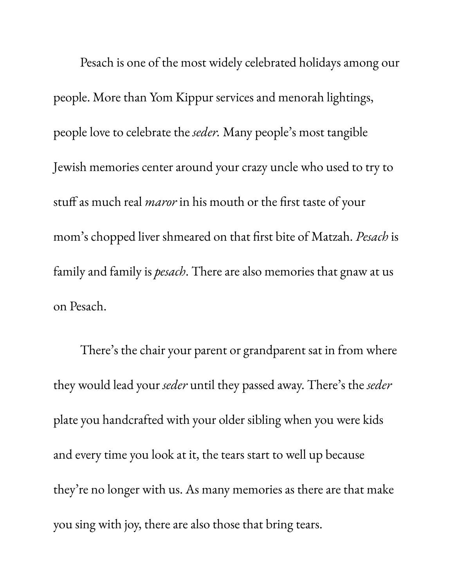Pesach is one of the most widely celebrated holidays among our people. More than Yom Kippur services and menorah lightings, people love to celebrate the *seder.* Many people ' s most tangible Jewish memories center around your crazy uncle who used to try to stuff as much real *maror* in his mouth or the first taste of your mom' s chopped liver shmeared on that first bite of Matzah. *Pesach* is family and family is *pesach*. There are also memories that gnaw at us on Pesach.

There ' s the chair your parent or grandparent sat in from where they would lead your *seder* until they passed away. There ' s the *seder* plate you handcrafted with your older sibling when you were kids and every time you look at it, the tears start to well up because they 're no longer with us. As many memories as there are that make you sing with joy, there are also those that bring tears.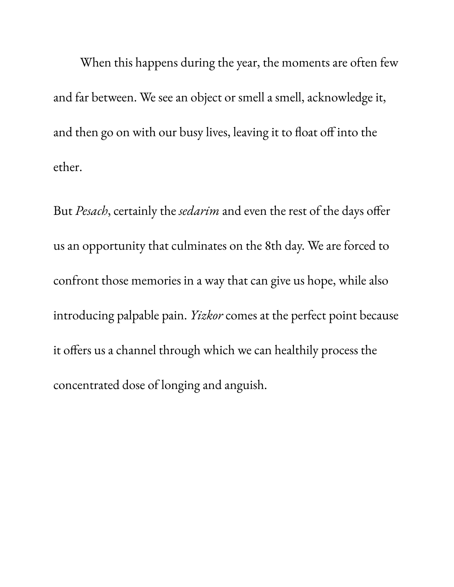When this happens during the year, the moments are often few and far between. We see an object or smell a smell, acknowledge it, and then go on with our busy lives, leaving it to float off into the ether.

But *Pesach*, certainly the *sedarim* and even the rest of the days offer us an opportunity that culminates on the 8th day. We are forced to confront those memories in a way that can give us hope, while also introducing palpable pain. *Yizkor* comes at the perfect point because it offers us a channel through which we can healthily process the concentrated dose of longing and anguish.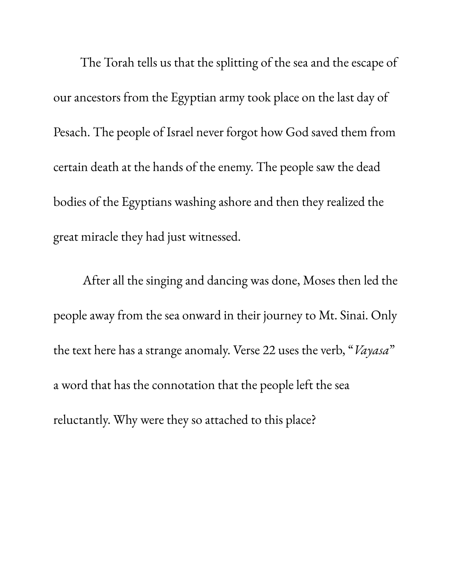The Torah tells us that the splitting of the sea and the escape of our ancestors from the Egyptian army took place on the last day of Pesach. The people of Israel never forgot how God saved them from certain death at the hands of the enemy. The people saw the dead bodies of the Egyptians washing ashore and then they realized the great miracle they had just witnessed.

After all the singing and dancing was done, Moses then led the people away from the sea onward in their journey to Mt. Sinai. Only the text here has a strange anomaly. Verse 22 uses the verb, "*Vayasa*" a word that has the connotation that the people left the sea reluctantly. Why were they so attached to this place?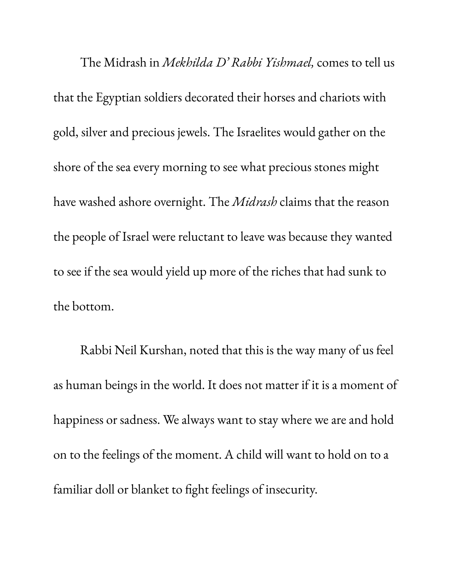The Midrash in *Mekhilda D' Rabbi Yishmael,* comes to tell us that the Egyptian soldiers decorated their horses and chariots with gold, silver and precious jewels. The Israelites would gather on the shore of the sea every morning to see what precious stones might have washed ashore overnight. The *Midrash* claims that the reason the people of Israel were reluctant to leave was because they wanted to see if the sea would yield up more of the riches that had sunk to the bottom.

Rabbi Neil Kurshan, noted that this is the way many of us feel as human beings in the world. It does not matter if it is a moment of happiness or sadness. We always want to stay where we are and hold on to the feelings of the moment. A child will want to hold on to a familiar doll or blanket to fight feelings of insecurity.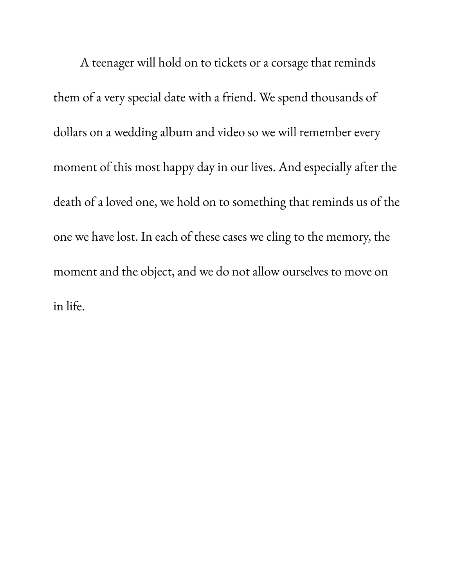A teenager will hold on to tickets or a corsage that reminds them of a very special date with a friend. We spend thousands of dollars on a wedding album and video so we will remember every moment of this most happy day in our lives. And especially after the death of a loved one, we hold on to something that reminds us of the one we have lost. In each of these cases we cling to the memory, the moment and the object, and we do not allow ourselves to move on in life.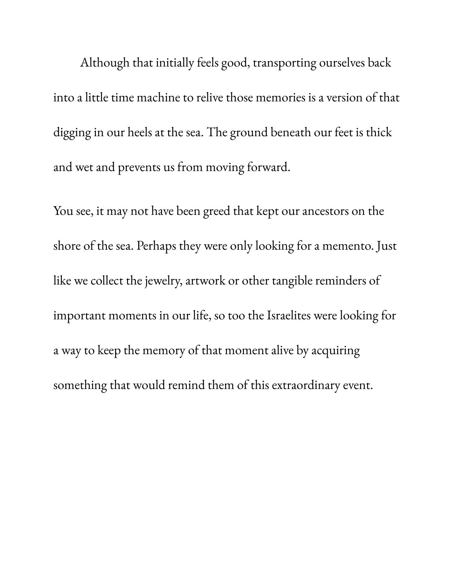Although that initially feels good, transporting ourselves back into a little time machine to relive those memories is a version of that digging in our heels at the sea. The ground beneath our feet is thick and wet and prevents us from moving forward.

You see, it may not have been greed that kept our ancestors on the shore of the sea. Perhaps they were only looking for a memento. Just like we collect the jewelry, artwork or other tangible reminders of important moments in our life, so too the Israelites were looking for a way to keep the memory of that moment alive by acquiring something that would remind them of this extraordinary event.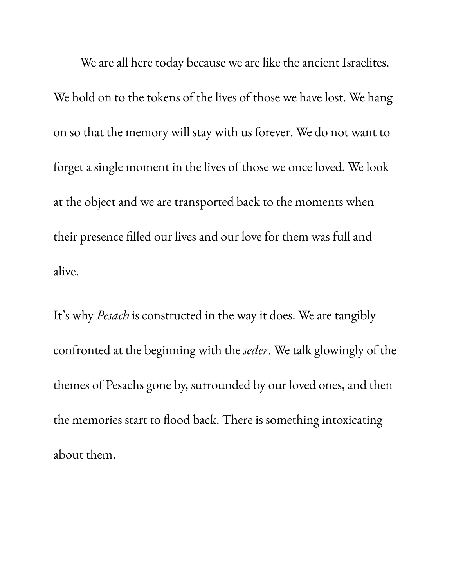We are all here today because we are like the ancient Israelites. We hold on to the tokens of the lives of those we have lost. We hang on so that the memory will stay with us forever. We do not want to forget a single moment in the lives of those we once loved. We look at the object and we are transported back to the moments when their presence filled our lives and our love for them was full and alive.

It' s why *Pesach* is constructed in the way it does. We are tangibly confronted at the beginning with the *seder*. We talk glowingly of the themes of Pesachs gone by, surrounded by our loved ones, and then the memories start to flood back. There is something intoxicating about them.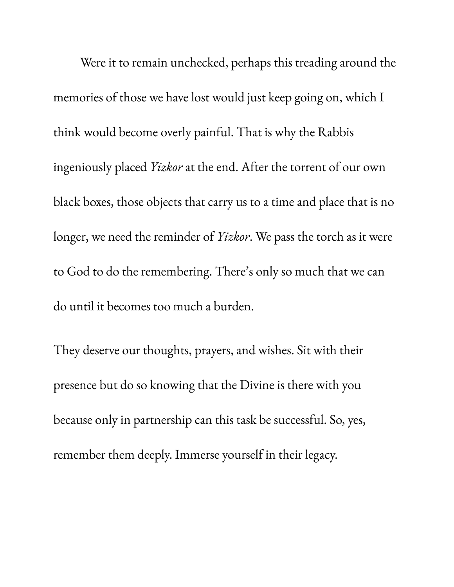Were it to remain unchecked, perhaps this treading around the memories of those we have lost would just keep going on, which I think would become overly painful. That is why the Rabbis ingeniously placed *Yizkor* at the end. After the torrent of our own black boxes, those objects that carry us to a time and place that is no longer, we need the reminder of *Yizkor*. We pass the torch as it were to God to do the remembering. There ' s only so much that we can do until it becomes too much a burden.

They deserve our thoughts, prayers, and wishes. Sit with their presence but do so knowing that the Divine is there with you because only in partnership can this task be successful. So, yes, remember them deeply. Immerse yourself in their legacy.